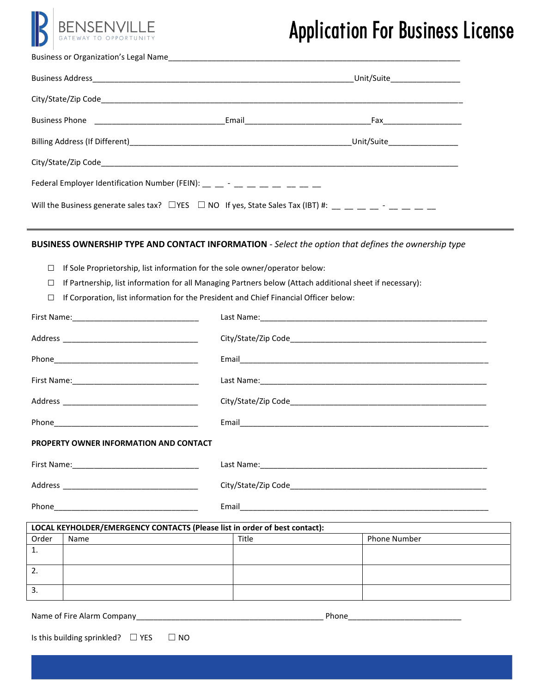

# Application For Business License

|                                                                                                                                                                | Unit/Suite________________ |
|----------------------------------------------------------------------------------------------------------------------------------------------------------------|----------------------------|
|                                                                                                                                                                |                            |
|                                                                                                                                                                |                            |
|                                                                                                                                                                |                            |
|                                                                                                                                                                |                            |
| Federal Employer Identification Number (FEIN): $\frac{1}{2}$ $\frac{1}{2}$ $\frac{1}{2}$ $\frac{1}{2}$ $\frac{1}{2}$ $\frac{1}{2}$ $\frac{1}{2}$ $\frac{1}{2}$ |                            |
| Will the Business generate sales tax? $\Box$ YES $\Box$ NO If yes, State Sales Tax (IBT) #: __ __ __ __ _ _ __ __ __                                           |                            |

### **BUSINESS OWNERSHIP TYPE AND CONTACT INFORMATION** - *Select the option that defines the ownership type*

- □ If Sole Proprietorship, list information for the sole owner/operator below:
- □ If Partnership, list information for all Managing Partners below (Attach additional sheet if necessary):
- □ If Corporation, list information for the President and Chief Financial Officer below:

| <b>PROPERTY OWNER INFORMATION AND CONTACT</b>                              |       |                     |  |  |
|----------------------------------------------------------------------------|-------|---------------------|--|--|
|                                                                            |       |                     |  |  |
|                                                                            |       |                     |  |  |
|                                                                            |       |                     |  |  |
| LOCAL KEYHOLDER/EMERGENCY CONTACTS (Please list in order of best contact): |       |                     |  |  |
| Order<br>Name                                                              | Title | <b>Phone Number</b> |  |  |
| $\mathbf{1}$ .                                                             |       |                     |  |  |
| $\overline{2}$ .                                                           |       |                     |  |  |
| $\overline{3}$ .                                                           |       |                     |  |  |

Name of Fire Alarm Company

|  |  | Phone |  |
|--|--|-------|--|
|  |  |       |  |

Is this building sprinkled?  $□$  YES  $□$  NO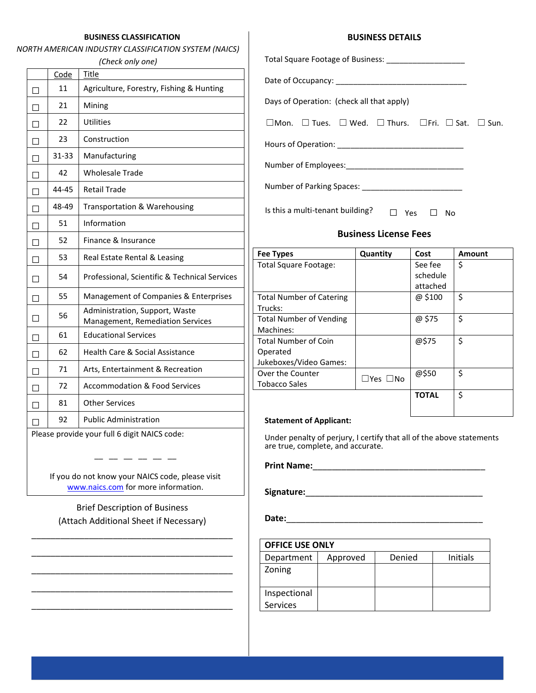#### **BUSINESS CLASSIFICATION**

#### *NORTH AMERICAN INDUSTRY CLASSIFICATION SYSTEM (NAICS)*

#### *(Check only one)*

|   | Code                                         | Title                                                              |  |  |
|---|----------------------------------------------|--------------------------------------------------------------------|--|--|
| П | 11                                           | Agriculture, Forestry, Fishing & Hunting                           |  |  |
|   | 21                                           | Mining                                                             |  |  |
| П | 22                                           | Utilities                                                          |  |  |
| П | 23                                           | Construction                                                       |  |  |
| П | 31-33                                        | Manufacturing                                                      |  |  |
|   | 42                                           | <b>Wholesale Trade</b>                                             |  |  |
| П | 44-45                                        | <b>Retail Trade</b>                                                |  |  |
| П | 48-49                                        | Transportation & Warehousing                                       |  |  |
| П | 51                                           | Information                                                        |  |  |
|   | 52                                           | Finance & Insurance                                                |  |  |
| П | 53                                           | Real Estate Rental & Leasing                                       |  |  |
| П | 54                                           | Professional, Scientific & Technical Services                      |  |  |
| П | 55                                           | Management of Companies & Enterprises                              |  |  |
| П | 56                                           | Administration, Support, Waste<br>Management, Remediation Services |  |  |
| П | 61                                           | <b>Educational Services</b>                                        |  |  |
| П | 62                                           | <b>Health Care &amp; Social Assistance</b>                         |  |  |
| П | 71                                           | Arts, Entertainment & Recreation                                   |  |  |
| П | 72                                           | <b>Accommodation &amp; Food Services</b>                           |  |  |
|   | 81                                           | <b>Other Services</b>                                              |  |  |
|   | 92                                           | <b>Public Administration</b>                                       |  |  |
|   | Please provide your full 6 digit NAICS code: |                                                                    |  |  |

**BUSINESS DETAILS** 

| Days of Operation: (check all that apply)                                              |  |
|----------------------------------------------------------------------------------------|--|
| $\Box$ Mon. $\Box$ Tues. $\Box$ Wed. $\Box$ Thurs. $\Box$ Fri. $\Box$ Sat. $\Box$ Sun. |  |
|                                                                                        |  |
|                                                                                        |  |

Number of Parking Spaces: \_\_\_\_\_\_\_\_\_\_\_\_\_\_\_\_\_\_\_\_\_\_\_

Is this a multi-tenant building?  $□$  Yes  $□$  No

#### **Business License Fees**

| <b>Fee Types</b>                | Quantity | Cost         | Amount |
|---------------------------------|----------|--------------|--------|
| Total Square Footage:           |          | See fee :    | \$     |
|                                 |          | schedule     |        |
|                                 |          | attached     |        |
| <b>Total Number of Catering</b> |          | @ \$100      | \$     |
| Trucks:                         |          |              |        |
| <b>Total Number of Vending</b>  |          | @ \$75       | \$     |
| Machines:                       |          |              |        |
| Total Number of Coin            |          | @\$75        | \$     |
| Operated                        |          |              |        |
| Jukeboxes/Video Games:          |          |              |        |
| Over the Counter                | □Yes □No | @\$50        | \$     |
| Tobacco Sales                   |          |              |        |
|                                 |          | <b>TOTAL</b> | \$     |
|                                 |          |              |        |
|                                 |          |              |        |

#### **Statement of Applicant:**

Under penalty of perjury, I certify that all of the above statements are true, complete, and accurate.

**Print Name:**\_\_\_\_\_\_\_\_\_\_\_\_\_\_\_\_\_\_\_\_\_\_\_\_\_\_\_\_\_\_\_\_\_\_\_\_

**Signature:**\_\_\_\_\_\_\_\_\_\_\_\_\_\_\_\_\_\_\_\_\_\_\_\_\_\_\_\_\_\_\_\_\_\_\_\_\_

**Date:**\_\_\_\_\_\_\_\_\_\_\_\_\_\_\_\_\_\_\_\_\_\_\_\_\_\_\_\_\_\_\_\_\_\_\_\_\_\_\_\_\_

| <b>OFFICE USE ONLY</b> |          |        |                 |  |
|------------------------|----------|--------|-----------------|--|
| Department             | Approved | Denied | <b>Initials</b> |  |
| Zoning                 |          |        |                 |  |
| Inspectional           |          |        |                 |  |
| <b>Services</b>        |          |        |                 |  |

If you do not know your NAICS code, please visit [www.naics.com](http://www.naics.com/) for more information.

 $-$ 

Brief Description of Business (Attach Additional Sheet if Necessary)

\_\_\_\_\_\_\_\_\_\_\_\_\_\_\_\_\_\_\_\_\_\_\_\_\_\_\_\_\_\_\_\_\_\_\_\_\_\_\_\_\_\_

\_\_\_\_\_\_\_\_\_\_\_\_\_\_\_\_\_\_\_\_\_\_\_\_\_\_\_\_\_\_\_\_\_\_\_\_\_\_\_\_\_\_

\_\_\_\_\_\_\_\_\_\_\_\_\_\_\_\_\_\_\_\_\_\_\_\_\_\_\_\_\_\_\_\_\_\_\_\_\_\_\_\_\_\_

\_\_\_\_\_\_\_\_\_\_\_\_\_\_\_\_\_\_\_\_\_\_\_\_\_\_\_\_\_\_\_\_\_\_\_\_\_\_\_\_\_\_

\_\_\_\_\_\_\_\_\_\_\_\_\_\_\_\_\_\_\_\_\_\_\_\_\_\_\_\_\_\_\_\_\_\_\_\_\_\_\_\_\_\_